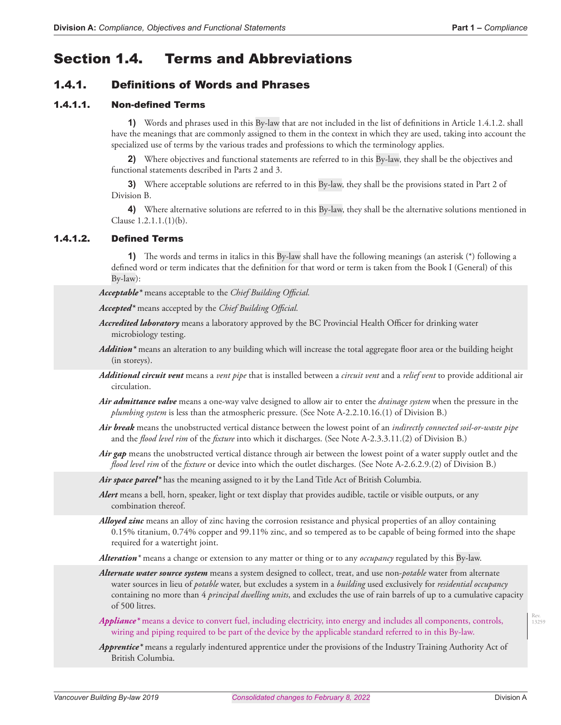# Section 1.4. Terms and Abbreviations

# 1.4.1. Definitions of Words and Phrases

#### 1.4.1.1. Non-defined Terms

**1)** Words and phrases used in this By-law that are not included in the list of definitions in Article 1.4.1.2. shall have the meanings that are commonly assigned to them in the context in which they are used, taking into account the specialized use of terms by the various trades and professions to which the terminology applies.

**2)** Where objectives and functional statements are referred to in this By-law, they shall be the objectives and functional statements described in Parts 2 and 3.

**3)** Where acceptable solutions are referred to in this By-law, they shall be the provisions stated in Part 2 of Division B.

**4)** Where alternative solutions are referred to in this By-law, they shall be the alternative solutions mentioned in Clause 1.2.1.1.(1)(b).

### 1.4.1.2. Defined Terms

**1)** The words and terms in italics in this By-law shall have the following meanings (an asterisk (\*) following a defined word or term indicates that the definition for that word or term is taken from the Book I (General) of this By-law):

*Acceptable\** means acceptable to the *Chief Building Official.*

*Accepted\** means accepted by the *Chief Building Official.*

- *Accredited laboratory* means a laboratory approved by the BC Provincial Health Officer for drinking water microbiology testing.
- *Addition\** means an alteration to any building which will increase the total aggregate floor area or the building height (in storeys).
- *Additional circuit vent* means a *vent pipe* that is installed between a *circuit vent* and a *relief vent* to provide additional air circulation.
- *Air admittance valve* means a one-way valve designed to allow air to enter the *drainage system* when the pressure in the *plumbing system* is less than the atmospheric pressure. (See Note A-2.2.10.16.(1) of Division B.)
- *Air break* means the unobstructed vertical distance between the lowest point of an *indirectly connected soil-or-waste pipe*  and the *flood level rim* of the *fixture* into which it discharges. (See Note A-2.3.3.11.(2) of Division B.)
- *Air gap* means the unobstructed vertical distance through air between the lowest point of a water supply outlet and the *flood level rim* of the *fixture* or device into which the outlet discharges. (See Note A-2.6.2.9.(2) of Division B.)

Air space parcel<sup>\*</sup> has the meaning assigned to it by the Land Title Act of British Columbia.

- *Alert* means a bell, horn, speaker, light or text display that provides audible, tactile or visible outputs, or any combination thereof.
- *Alloyed zinc* means an alloy of zinc having the corrosion resistance and physical properties of an alloy containing 0.15% titanium, 0.74% copper and 99.11% zinc, and so tempered as to be capable of being formed into the shape required for a watertight joint.

*Alteration\** means a change or extension to any matter or thing or to any *occupancy* regulated by this By-law.

*Alternate water source system* means a system designed to collect, treat, and use non-*potable* water from alternate water sources in lieu of *potable* water, but excludes a system in a *building* used exclusively for *residential occupancy* containing no more than 4 *principal dwelling units*, and excludes the use of rain barrels of up to a cumulative capacity of 500 litres.

- *Appliance\** means a device to convert fuel, including electricity, into energy and includes all components, controls, wiring and piping required to be part of the device by the applicable standard referred to in this By-law.
- *Apprentice\** means a regularly indentured apprentice under the provisions of the Industry Training Authority Act of British Columbia.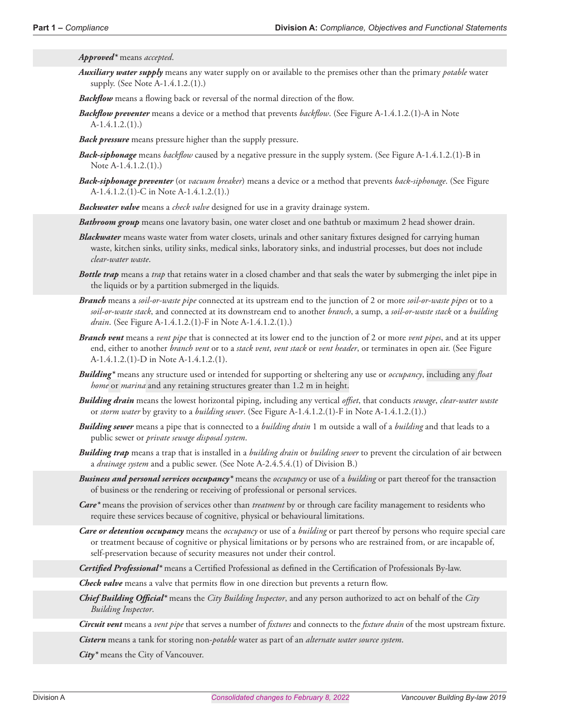*Approved\** means *accepted*.

*Auxiliary water supply* means any water supply on or available to the premises other than the primary *potable* water supply. (See Note A-1.4.1.2.(1).)

*Backflow* means a flowing back or reversal of the normal direction of the flow.

*Backflow preventer* means a device or a method that prevents *backflow*. (See Figure A-1.4.1.2.(1)-A in Note A-1.4.1.2.(1).)

*Back pressure* means pressure higher than the supply pressure.

- *Back-siphonage* means *backflow* caused by a negative pressure in the supply system. (See Figure A-1.4.1.2.(1)-B in Note A-1.4.1.2.(1).)
- *Back-siphonage preventer* (or *vacuum breaker*) means a device or a method that prevents *back-siphonage*. (See Figure A-1.4.1.2.(1)-C in Note A-1.4.1.2.(1).)

*Backwater valve* means a *check valve* designed for use in a gravity drainage system.

*Bathroom group* means one lavatory basin, one water closet and one bathtub or maximum 2 head shower drain.

- *Blackwater* means waste water from water closets, urinals and other sanitary fixtures designed for carrying human waste, kitchen sinks, utility sinks, medical sinks, laboratory sinks, and industrial processes, but does not include *clear-water waste*.
- *Bottle trap* means a *trap* that retains water in a closed chamber and that seals the water by submerging the inlet pipe in the liquids or by a partition submerged in the liquids.
- *Branch* means a *soil-or-waste pipe* connected at its upstream end to the junction of 2 or more *soil-or-waste pipes* or to a *soil-or-waste stack*, and connected at its downstream end to another *branch*, a sump, a *soil-or-waste stack* or a *building drain*. (See Figure A-1.4.1.2.(1)-F in Note A-1.4.1.2.(1).)
- *Branch vent* means a *vent pipe* that is connected at its lower end to the junction of 2 or more *vent pipes*, and at its upper end, either to another *branch vent* or to a *stack vent*, *vent stack* or *vent header*, or terminates in open air. (See Figure A-1.4.1.2.(1)-D in Note A-1.4.1.2.(1).
- *Building\** means any structure used or intended for supporting or sheltering any use or *occupancy*, including any *float home* or *marina* and any retaining structures greater than 1.2 m in height.
- *Building drain* means the lowest horizontal piping, including any vertical *offset*, that conducts *sewage*, *clear-water waste*  or *storm water* by gravity to a *building sewer*. (See Figure A-1.4.1.2.(1)-F in Note A-1.4.1.2.(1).)
- *Building sewer* means a pipe that is connected to a *building drain* 1 m outside a wall of a *building* and that leads to a public sewer or *private sewage disposal system*.
- *Building trap* means a trap that is installed in a *building drain* or *building sewer* to prevent the circulation of air between a *drainage system* and a public sewer. (See Note A-2.4.5.4.(1) of Division B.)
- *Business and personal services occupancy\** means the *occupancy* or use of a *building* or part thereof for the transaction of business or the rendering or receiving of professional or personal services.
- *Care\** means the provision of services other than *treatment* by or through care facility management to residents who require these services because of cognitive, physical or behavioural limitations.
- *Care or detention occupancy* means the *occupancy* or use of a *building* or part thereof by persons who require special care or treatment because of cognitive or physical limitations or by persons who are restrained from, or are incapable of, self-preservation because of security measures not under their control.

*Certified Professional\** means a Certified Professional as defined in the Certification of Professionals By-law.

*Check valve* means a valve that permits flow in one direction but prevents a return flow.

- *Chief Building Official\** means the *City Building Inspector*, and any person authorized to act on behalf of the *City Building Inspector*.
- *Circuit vent* means a *vent pipe* that serves a number of *fixtures* and connects to the *fixture drain* of the most upstream fixture.

*Cistern* means a tank for storing non-*potable* water as part of an *alternate water source system*.

*City\** means the City of Vancouver.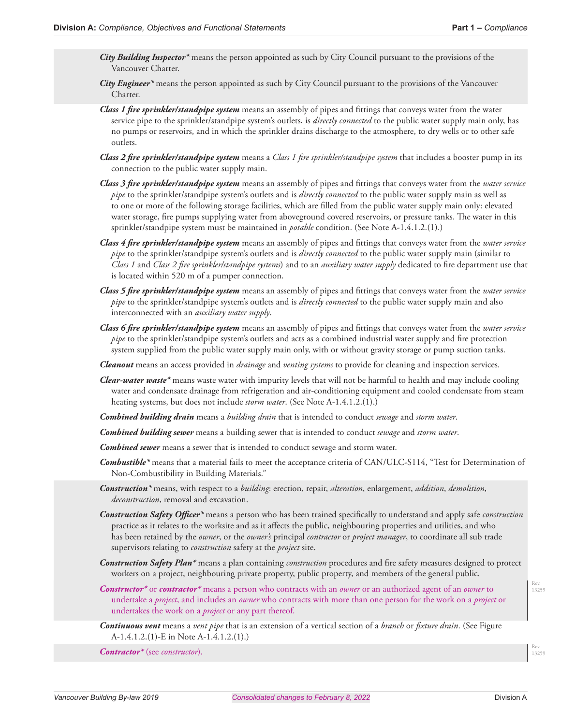- *City Building Inspector\** means the person appointed as such by City Council pursuant to the provisions of the Vancouver Charter.
- *City Engineer\** means the person appointed as such by City Council pursuant to the provisions of the Vancouver Charter.
- *Class 1 fire sprinkler/standpipe system* means an assembly of pipes and fittings that conveys water from the water service pipe to the sprinkler/standpipe system's outlets, is *directly connected* to the public water supply main only, has no pumps or reservoirs, and in which the sprinkler drains discharge to the atmosphere, to dry wells or to other safe outlets.
- *Class 2 fire sprinkler/standpipe system* means a *Class 1 fire sprinkler/standpipe system* that includes a booster pump in its connection to the public water supply main.
- *Class 3 fire sprinkler/standpipe system* means an assembly of pipes and fittings that conveys water from the *water service pipe* to the sprinkler/standpipe system's outlets and is *directly connected* to the public water supply main as well as to one or more of the following storage facilities, which are filled from the public water supply main only: elevated water storage, fire pumps supplying water from aboveground covered reservoirs, or pressure tanks. The water in this sprinkler/standpipe system must be maintained in *potable* condition. (See Note A-1.4.1.2.(1).)
- *Class 4 fire sprinkler/standpipe system* means an assembly of pipes and fittings that conveys water from the *water service pipe* to the sprinkler/standpipe system's outlets and is *directly connected* to the public water supply main (similar to *Class 1* and *Class 2 fire sprinkler/standpipe systems*) and to an *auxiliary water supply* dedicated to fire department use that is located within 520 m of a pumper connection.
- *Class 5 fire sprinkler/standpipe system* means an assembly of pipes and fittings that conveys water from the *water service pipe* to the sprinkler/standpipe system's outlets and is *directly connected* to the public water supply main and also interconnected with an *auxiliary water supply*.
- *Class 6 fire sprinkler/standpipe system* means an assembly of pipes and fittings that conveys water from the *water service pipe* to the sprinkler/standpipe system's outlets and acts as a combined industrial water supply and fire protection system supplied from the public water supply main only, with or without gravity storage or pump suction tanks.
- *Cleanout* means an access provided in *drainage* and *venting systems* to provide for cleaning and inspection services.
- *Clear-water waste\** means waste water with impurity levels that will not be harmful to health and may include cooling water and condensate drainage from refrigeration and air-conditioning equipment and cooled condensate from steam heating systems, but does not include *storm water*. (See Note A-1.4.1.2.(1).)
- *Combined building drain* means a *building drain* that is intended to conduct *sewage* and *storm water*.
- *Combined building sewer* means a building sewer that is intended to conduct *sewage* and *storm water*.
- *Combined sewer* means a sewer that is intended to conduct sewage and storm water.
- *Combustible\** means that a material fails to meet the acceptance criteria of CAN/ULC-S114, "Test for Determination of Non-Combustibility in Building Materials."
- *Construction\** means, with respect to a *building*: erection, repair, *alteration*, enlargement, *addition*, *demolition*, *deconstruction*, removal and excavation.
- *Construction Safety Officer\** means a person who has been trained specifically to understand and apply safe *construction*  practice as it relates to the worksite and as it affects the public, neighbouring properties and utilities, and who has been retained by the *owner*, or the *owner's* principal *contractor* or *project manager*, to coordinate all sub trade supervisors relating to *construction* safety at the *project* site.
- *Construction Safety Plan\** means a plan containing *construction* procedures and fire safety measures designed to protect workers on a project, neighbouring private property, public property, and members of the general public.
- *Constructor\** or *contractor\** means a person who contracts with an *owner* or an authorized agent of an *owner* to undertake a *project*, and includes an *owner* who contracts with more than one person for the work on a *project* or undertakes the work on a *project* or any part thereof.
- *Continuous vent* means a *vent pipe* that is an extension of a vertical section of a *branch* or *fixture drain*. (See Figure A-1.4.1.2.(1)-E in Note A-1.4.1.2.(1).)

*Contractor\** (see *constructor*).

Rev. 13259

Rev. 13259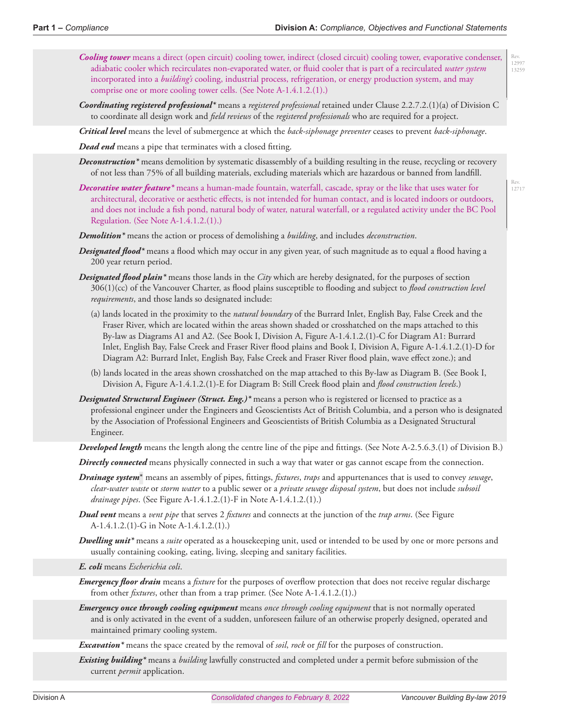Rev. 12997 13259

Rev. 12717

- *Cooling tower* means a direct (open circuit) cooling tower, indirect (closed circuit) cooling tower, evaporative condenser, adiabatic cooler which recirculates non-evaporated water, or fluid cooler that is part of a recirculated *water system* incorporated into a *building's* cooling, industrial process, refrigeration, or energy production system, and may comprise one or more cooling tower cells. (See Note A-1.4.1.2.(1).)
- *Coordinating registered professional\** means a *registered professional* retained under Clause 2.2.7.2.(1)(a) of Division C to coordinate all design work and *field reviews* of the *registered professionals* who are required for a project.

*Critical level* means the level of submergence at which the *back-siphonage preventer* ceases to prevent *back-siphonage*.

*Dead end* means a pipe that terminates with a closed fitting.

- *Deconstruction\** means demolition by systematic disassembly of a building resulting in the reuse, recycling or recovery of not less than 75% of all building materials, excluding materials which are hazardous or banned from landfill.
- *Decorative water feature\** means a human-made fountain, waterfall, cascade, spray or the like that uses water for architectural, decorative or aesthetic effects, is not intended for human contact, and is located indoors or outdoors, and does not include a fish pond, natural body of water, natural waterfall, or a regulated activity under the BC Pool Regulation. (See Note A-1.4.1.2.(1).)

*Demolition\** means the action or process of demolishing a *building*, and includes *deconstruction*.

- *Designated flood\** means a flood which may occur in any given year, of such magnitude as to equal a flood having a 200 year return period.
- *Designated flood plain\** means those lands in the *City* which are hereby designated, for the purposes of section 306(1)(cc) of the Vancouver Charter, as flood plains susceptible to flooding and subject to *flood construction level requirements*, and those lands so designated include:
	- (a) lands located in the proximity to the *natural boundary* of the Burrard Inlet, English Bay, False Creek and the Fraser River, which are located within the areas shown shaded or crosshatched on the maps attached to this By-law as Diagrams A1 and A2. (See Book I, Division A, Figure A-1.4.1.2.(1)-C for Diagram A1: Burrard Inlet, English Bay, False Creek and Fraser River flood plains and Book I, Division A, Figure A-1.4.1.2.(1)-D for Diagram A2: Burrard Inlet, English Bay, False Creek and Fraser River flood plain, wave effect zone.); and
	- (b) lands located in the areas shown crosshatched on the map attached to this By-law as Diagram B. (See Book I, Division A, Figure A-1.4.1.2.(1)-E for Diagram B: Still Creek flood plain and *flood construction levels*.)
- *Designated Structural Engineer (Struct. Eng.)\** means a person who is registered or licensed to practice as a professional engineer under the Engineers and Geoscientists Act of British Columbia, and a person who is designated by the Association of Professional Engineers and Geoscientists of British Columbia as a Designated Structural Engineer.

*Developed length* means the length along the centre line of the pipe and fittings. (See Note A-2.5.6.3.(1) of Division B.)

*Directly connected* means physically connected in such a way that water or gas cannot escape from the connection.

- *Drainage system*\* means an assembly of pipes, fittings, *fixtures*, *traps* and appurtenances that is used to convey *sewage*, *clear-water waste* or *storm water* to a public sewer or a *private sewage disposal system*, but does not include *subsoil drainage pipes*. (See Figure A-1.4.1.2.(1)-F in Note A-1.4.1.2.(1).)
- *Dual vent* means a *vent pipe* that serves 2 *fixtures* and connects at the junction of the *trap arms*. (See Figure A-1.4.1.2.(1)-G in Note A-1.4.1.2.(1).)
- *Dwelling unit\** means a *suite* operated as a housekeeping unit, used or intended to be used by one or more persons and usually containing cooking, eating, living, sleeping and sanitary facilities.

*E. coli* means *Escherichia coli*.

*Emergency floor drain* means a *fixture* for the purposes of overflow protection that does not receive regular discharge from other *fixtures*, other than from a trap primer. (See Note A-1.4.1.2.(1).)

*Emergency once through cooling equipment* means *once through cooling equipment* that is not normally operated and is only activated in the event of a sudden, unforeseen failure of an otherwise properly designed, operated and maintained primary cooling system.

*Excavation\** means the space created by the removal of *soil*, *rock* or *fill* for the purposes of construction.

*Existing building\** means a *building* lawfully constructed and completed under a permit before submission of the current *permit* application.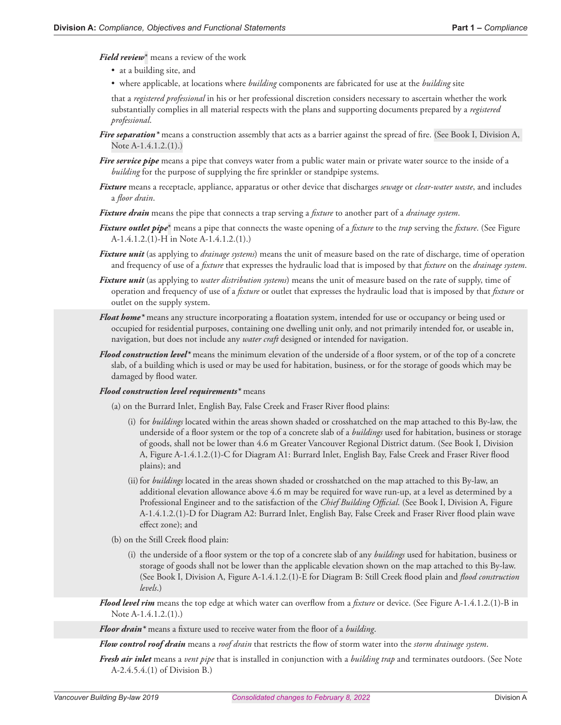*Field review*\* means a review of the work

- at a building site, and
- where applicable, at locations where *building* components are fabricated for use at the *building* site

that a *registered professional* in his or her professional discretion considers necessary to ascertain whether the work substantially complies in all material respects with the plans and supporting documents prepared by a *registered professional*.

- *Fire separation*<sup>\*</sup> means a construction assembly that acts as a barrier against the spread of fire. (See Book I, Division A, Note A-1.4.1.2.(1).)
- *Fire service pipe* means a pipe that conveys water from a public water main or private water source to the inside of a *building* for the purpose of supplying the fire sprinkler or standpipe systems.
- *Fixture* means a receptacle, appliance, apparatus or other device that discharges *sewage* or *clear-water waste*, and includes a *floor drain*.
- *Fixture drain* means the pipe that connects a trap serving a *fixture* to another part of a *drainage system*.
- *Fixture outlet pipe*\* means a pipe that connects the waste opening of a *fixture* to the *trap* serving the *fixture*. (See Figure A-1.4.1.2.(1)-H in Note A-1.4.1.2.(1).)
- *Fixture unit* (as applying to *drainage systems*) means the unit of measure based on the rate of discharge, time of operation and frequency of use of a *fixture* that expresses the hydraulic load that is imposed by that *fixture* on the *drainage system*.
- *Fixture unit* (as applying to *water distribution systems*) means the unit of measure based on the rate of supply, time of operation and frequency of use of a *fixture* or outlet that expresses the hydraulic load that is imposed by that *fixture* or outlet on the supply system.
- *Float home\** means any structure incorporating a floatation system, intended for use or occupancy or being used or occupied for residential purposes, containing one dwelling unit only, and not primarily intended for, or useable in, navigation, but does not include any *water craft* designed or intended for navigation.
- *Flood construction level\** means the minimum elevation of the underside of a floor system, or of the top of a concrete slab, of a building which is used or may be used for habitation, business, or for the storage of goods which may be damaged by flood water.

#### *Flood construction level requirements\** means

- (a) on the Burrard Inlet, English Bay, False Creek and Fraser River flood plains:
	- (i) for *buildings* located within the areas shown shaded or crosshatched on the map attached to this By-law, the underside of a floor system or the top of a concrete slab of a *buildings* used for habitation, business or storage of goods, shall not be lower than 4.6 m Greater Vancouver Regional District datum. (See Book I, Division A, Figure A-1.4.1.2.(1)-C for Diagram A1: Burrard Inlet, English Bay, False Creek and Fraser River flood plains); and
	- (ii) for *buildings* located in the areas shown shaded or crosshatched on the map attached to this By-law, an additional elevation allowance above 4.6 m may be required for wave run-up, at a level as determined by a Professional Engineer and to the satisfaction of the *Chief Building Official*. (See Book I, Division A, Figure A-1.4.1.2.(1)-D for Diagram A2: Burrard Inlet, English Bay, False Creek and Fraser River flood plain wave effect zone); and
- (b) on the Still Creek flood plain:
	- (i) the underside of a floor system or the top of a concrete slab of any *buildings* used for habitation, business or storage of goods shall not be lower than the applicable elevation shown on the map attached to this By-law. (See Book I, Division A, Figure A-1.4.1.2.(1)-E for Diagram B: Still Creek flood plain and *flood construction levels*.)
- *Flood level rim* means the top edge at which water can overflow from a *fixture* or device. (See Figure A-1.4.1.2.(1)-B in Note A-1.4.1.2.(1).)

*Floor drain\** means a fixture used to receive water from the floor of a *building*.

*Flow control roof drain* means a *roof drain* that restricts the flow of storm water into the *storm drainage system*.

*Fresh air inlet* means a *vent pipe* that is installed in conjunction with a *building trap* and terminates outdoors. (See Note A-2.4.5.4.(1) of Division B.)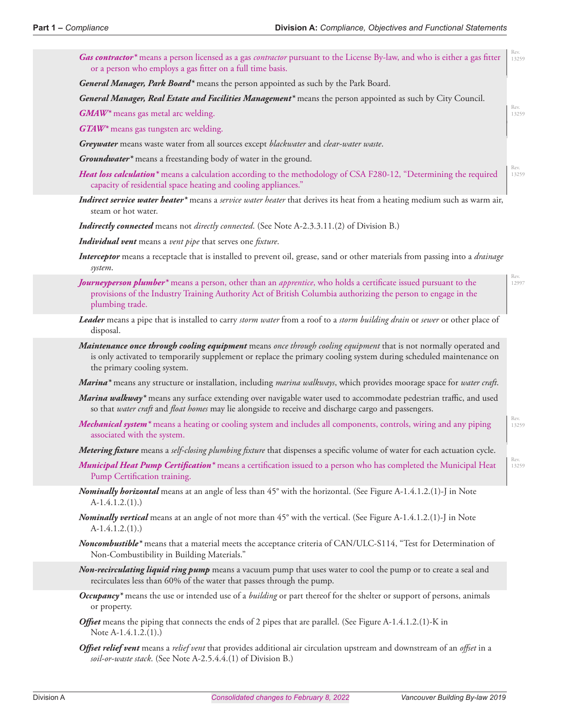| Gas contractor <sup>*</sup> means a person licensed as a gas <i>contractor</i> pursuant to the License By-law, and who is either a gas fitter<br>or a person who employs a gas fitter on a full time basis.                                                           | Rev.<br>13259 |
|-----------------------------------------------------------------------------------------------------------------------------------------------------------------------------------------------------------------------------------------------------------------------|---------------|
| General Manager, Park Board <sup>*</sup> means the person appointed as such by the Park Board.                                                                                                                                                                        |               |
| General Manager, Real Estate and Facilities Management <sup>*</sup> means the person appointed as such by City Council.                                                                                                                                               |               |
| GMAW* means gas metal arc welding.                                                                                                                                                                                                                                    | Rev.<br>13259 |
| GTAW* means gas tungsten arc welding.                                                                                                                                                                                                                                 |               |
| Greywater means waste water from all sources except blackwater and clear-water waste.                                                                                                                                                                                 |               |
| Groundwater <sup>*</sup> means a freestanding body of water in the ground.                                                                                                                                                                                            |               |
| Heat loss calculation <sup>*</sup> means a calculation according to the methodology of CSA F280-12, "Determining the required<br>capacity of residential space heating and cooling appliances."                                                                       | Rev.<br>13259 |
| Indirect service water heater* means a service water heater that derives its heat from a heating medium such as warm air,<br>steam or hot water.                                                                                                                      |               |
| <b>Indirectly connected</b> means not directly connected. (See Note A-2.3.3.11.(2) of Division B.)                                                                                                                                                                    |               |
| Individual vent means a vent pipe that serves one fixture.                                                                                                                                                                                                            |               |
| Interceptor means a receptacle that is installed to prevent oil, grease, sand or other materials from passing into a drainage<br>system.                                                                                                                              |               |
| Journeyperson plumber* means a person, other than an apprentice, who holds a certificate issued pursuant to the<br>provisions of the Industry Training Authority Act of British Columbia authorizing the person to engage in the<br>plumbing trade.                   | Rev.<br>12997 |
| Leader means a pipe that is installed to carry storm water from a roof to a storm building drain or sewer or other place of<br>disposal.                                                                                                                              |               |
| Maintenance once through cooling equipment means once through cooling equipment that is not normally operated and<br>is only activated to temporarily supplement or replace the primary cooling system during scheduled maintenance on<br>the primary cooling system. |               |
| Marina <sup>*</sup> means any structure or installation, including <i>marina walkways</i> , which provides moorage space for water craft.                                                                                                                             |               |
| Marina walkway* means any surface extending over navigable water used to accommodate pedestrian traffic, and used<br>so that water craft and float homes may lie alongside to receive and discharge cargo and passengers.                                             |               |
| Mechanical system <sup>*</sup> means a heating or cooling system and includes all components, controls, wiring and any piping<br>associated with the system.                                                                                                          | Rev.<br>13259 |
| Metering fixture means a self-closing plumbing fixture that dispenses a specific volume of water for each actuation cycle.                                                                                                                                            |               |
| Municipal Heat Pump Certification* means a certification issued to a person who has completed the Municipal Heat<br>Pump Certification training.                                                                                                                      | Rev.<br>13259 |
| Nominally borizontal means at an angle of less than 45° with the horizontal. (See Figure A-1.4.1.2.(1)-J in Note<br>$A-1.4.1.2.(1).)$                                                                                                                                 |               |
| Nominally vertical means at an angle of not more than 45° with the vertical. (See Figure A-1.4.1.2.(1)-J in Note<br>$A-1.4.1.2(1).$                                                                                                                                   |               |
| Noncombustible <sup>*</sup> means that a material meets the acceptance criteria of CAN/ULC-S114, "Test for Determination of<br>Non-Combustibility in Building Materials."                                                                                             |               |
| Non-recirculating liquid ring pump means a vacuum pump that uses water to cool the pump or to create a seal and<br>recirculates less than 60% of the water that passes through the pump.                                                                              |               |
| Occupancy <sup>*</sup> means the use or intended use of a <i>building</i> or part thereof for the shelter or support of persons, animals<br>or property.                                                                                                              |               |
| <b>Offset</b> means the piping that connects the ends of 2 pipes that are parallel. (See Figure A-1.4.1.2.(1)-K in<br>Note A-1.4.1.2.(1).)                                                                                                                            |               |

*Offset relief vent* means a *relief vent* that provides additional air circulation upstream and downstream of an *offset* in a *soil-or-waste stack*. (See Note A-2.5.4.4.(1) of Division B.)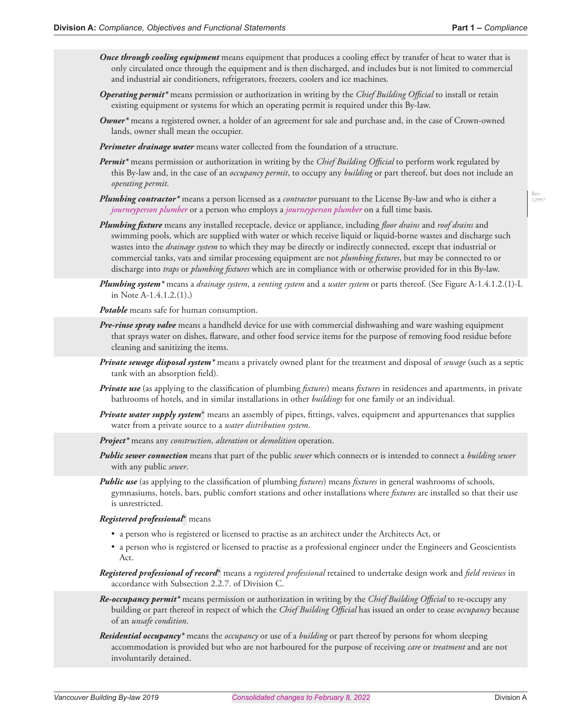- *Once through cooling equipment* means equipment that produces a cooling effect by transfer of heat to water that is only circulated once through the equipment and is then discharged, and includes but is not limited to commercial and industrial air conditioners, refrigerators, freezers, coolers and ice machines.
- *Operating permit\** means permission or authorization in writing by the *Chief Building Official* to install or retain existing equipment or systems for which an operating permit is required under this By-law.
- *Owner\** means a registered owner, a holder of an agreement for sale and purchase and, in the case of Crown-owned lands, owner shall mean the occupier.
- *Perimeter drainage water* means water collected from the foundation of a structure.
- *Permit\** means permission or authorization in writing by the *Chief Building Official* to perform work regulated by this By-law and, in the case of an *occupancy permit*, to occupy any *building* or part thereof, but does not include an *operating permit*.
- *Plumbing contractor\** means a person licensed as a *contractor* pursuant to the License By-law and who is either a *journeyperson plumber* or a person who employs a *journeyperson plumber* on a full time basis.
- *Plumbing fixture* means any installed receptacle, device or appliance, including *floor drains* and *roof drains* and swimming pools, which are supplied with water or which receive liquid or liquid-borne wastes and discharge such wastes into the *drainage system* to which they may be directly or indirectly connected, except that industrial or commercial tanks, vats and similar processing equipment are not *plumbing fixtures*, but may be connected to or discharge into *traps* or *plumbing fixtures* which are in compliance with or otherwise provided for in this By-law.
- *Plumbing system\** means a *drainage system*, a *venting system* and a *water system* or parts thereof. (See Figure A-1.4.1.2.(1)-L in Note A-1.4.1.2.(1).)

*Potable* means safe for human consumption.

- *Pre-rinse spray valve* means a handheld device for use with commercial dishwashing and ware washing equipment that sprays water on dishes, flatware, and other food service items for the purpose of removing food residue before cleaning and sanitizing the items.
- *Private sewage disposal system\** means a privately owned plant for the treatment and disposal of *sewage* (such as a septic tank with an absorption field).
- *Private use* (as applying to the classification of plumbing *fixtures*) means *fixtures* in residences and apartments, in private bathrooms of hotels, and in similar installations in other *buildings* for one family or an individual.
- *Private water supply system*\* means an assembly of pipes, fittings, valves, equipment and appurtenances that supplies water from a private source to a *water distribution system*.
- *Project\** means any *construction*, *alteration* or *demolition* operation.
- *Public sewer connection* means that part of the public *sewer* which connects or is intended to connect a *building sewer* with any public *sewer*.
- *Public use* (as applying to the classification of plumbing *fixtures*) means *fixtures* in general washrooms of schools, gymnasiums, hotels, bars, public comfort stations and other installations where *fixtures* are installed so that their use is unrestricted.

#### *Registered professional*\* means

- a person who is registered or licensed to practise as an architect under the Architects Act, or
- a person who is registered or licensed to practise as a professional engineer under the Engineers and Geoscientists Act.

*Registered professional of record*\* means a *registered professional* retained to undertake design work and *field reviews* in accordance with Subsection 2.2.7. of Division C.

- *Re-occupancy permit\** means permission or authorization in writing by the *Chief Building Official* to re-occupy any building or part thereof in respect of which the *Chief Building Official* has issued an order to cease *occupancy* because of an *unsafe condition*.
- *Residential occupancy\** means the *occupancy* or use of a *building* or part thereof by persons for whom sleeping accommodation is provided but who are not harboured for the purpose of receiving *care* or *treatment* and are not involuntarily detained.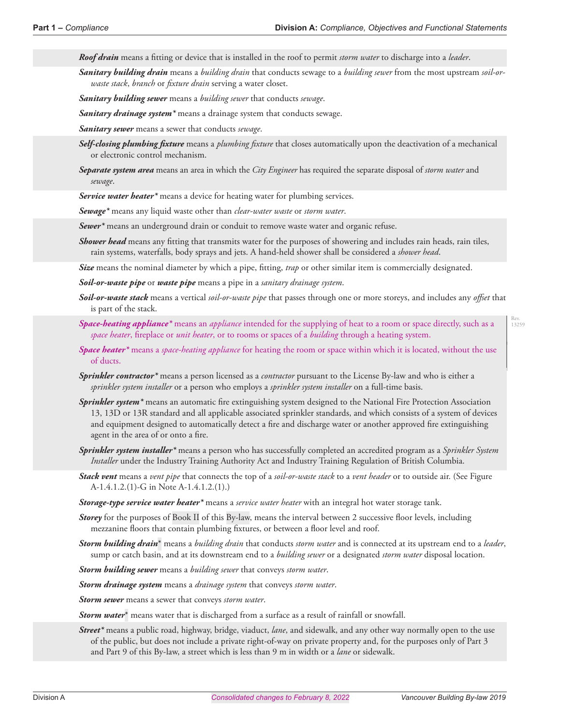of ducts.

*Roof drain* means a fitting or device that is installed in the roof to permit *storm water* to discharge into a *leader*.

*Sanitary building drain* means a *building drain* that conducts sewage to a *building sewer* from the most upstream *soil-orwaste stack*, *branch* or *fixture drain* serving a water closet.

*Sanitary building sewer* means a *building sewer* that conducts *sewage*.

*Sanitary drainage system\** means a drainage system that conducts sewage.

*Sanitary sewer* means a sewer that conducts *sewage*.

- *Self-closing plumbing fixture* means a *plumbing fixture* that closes automatically upon the deactivation of a mechanical or electronic control mechanism.
- *Separate system area* means an area in which the *City Engineer* has required the separate disposal of *storm water* and *sewage*.

*Service water heater\** means a device for heating water for plumbing services.

*Sewage\** means any liquid waste other than *clear-water waste* or *storm water*.

*Sewer\** means an underground drain or conduit to remove waste water and organic refuse.

*Shower head* means any fitting that transmits water for the purposes of showering and includes rain heads, rain tiles, rain systems, waterfalls, body sprays and jets. A hand-held shower shall be considered a *shower head*.

*Size* means the nominal diameter by which a pipe, fitting, *trap* or other similar item is commercially designated.

*Soil-or-waste pipe* or *waste pipe* means a pipe in a *sanitary drainage system*.

- *Soil-or-waste stack* means a vertical *soil-or-waste pipe* that passes through one or more storeys, and includes any *offset* that is part of the stack.
- *Space-heating appliance\** means an *appliance* intended for the supplying of heat to a room or space directly, such as a *space heater*, fireplace or *unit heater*, or to rooms or spaces of a *building* through a heating system.

*Space heater\** means a *space-heating appliance* for heating the room or space within which it is located, without the use

- *Sprinkler contractor\** means a person licensed as a *contractor* pursuant to the License By-law and who is either a *sprinkler system installer* or a person who employs a *sprinkler system installer* on a full-time basis.
- *Sprinkler system\** means an automatic fire extinguishing system designed to the National Fire Protection Association 13, 13D or 13R standard and all applicable associated sprinkler standards, and which consists of a system of devices and equipment designed to automatically detect a fire and discharge water or another approved fire extinguishing agent in the area of or onto a fire.
- *Sprinkler system installer\** means a person who has successfully completed an accredited program as a *Sprinkler System Installer* under the Industry Training Authority Act and Industry Training Regulation of British Columbia.
- *Stack vent* means a *vent pipe* that connects the top of a *soil-or-waste stack* to a *vent header* or to outside air. (See Figure A-1.4.1.2.(1)-G in Note A-1.4.1.2.(1).)

*Storage-type service water heater\** means a *service water heater* with an integral hot water storage tank.

- **Storey** for the purposes of Book II of this By-law, means the interval between 2 successive floor levels, including mezzanine floors that contain plumbing fixtures, or between a floor level and roof.
- *Storm building drain*\* means a *building drain* that conducts *storm water* and is connected at its upstream end to a *leader*, sump or catch basin, and at its downstream end to a *building sewer* or a designated *storm water* disposal location.

*Storm building sewer* means a *building sewer* that conveys *storm water*.

*Storm drainage system* means a *drainage system* that conveys *storm water*.

*Storm sewer* means a sewer that conveys *storm water*.

*Storm water*\* means water that is discharged from a surface as a result of rainfall or snowfall.

*Street\** means a public road, highway, bridge, viaduct, *lane*, and sidewalk, and any other way normally open to the use of the public, but does not include a private right-of-way on private property and, for the purposes only of Part 3 and Part 9 of this By-law, a street which is less than 9 m in width or a *lane* or sidewalk.

Rev. 13259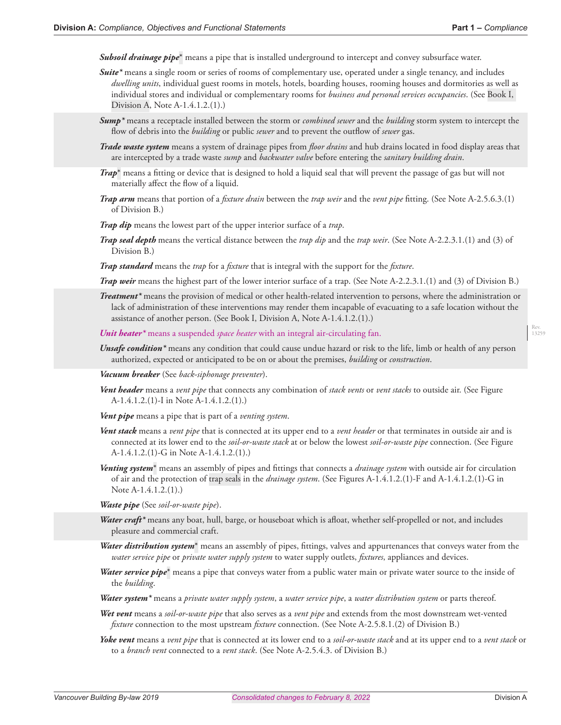*Subsoil drainage pipe*\* means a pipe that is installed underground to intercept and convey subsurface water.

- *Suite\** means a single room or series of rooms of complementary use, operated under a single tenancy, and includes *dwelling units*, individual guest rooms in motels, hotels, boarding houses, rooming houses and dormitories as well as individual stores and individual or complementary rooms for *business and personal services occupancies*. (See Book I, Division A, Note A-1.4.1.2.(1).)
- *Sump\** means a receptacle installed between the storm or *combined sewer* and the *building* storm system to intercept the flow of debris into the *building* or public *sewer* and to prevent the outflow of *sewer* gas.
- *Trade waste system* means a system of drainage pipes from *floor drains* and hub drains located in food display areas that are intercepted by a trade waste *sump* and *backwater valve* before entering the *sanitary building drain*.
- *Trap*\* means a fitting or device that is designed to hold a liquid seal that will prevent the passage of gas but will not materially affect the flow of a liquid.
- *Trap arm* means that portion of a *fixture drain* between the *trap weir* and the *vent pipe* fitting. (See Note A-2.5.6.3.(1) of Division B.)
- *Trap dip* means the lowest part of the upper interior surface of a *trap*.
- *Trap seal depth* means the vertical distance between the *trap dip* and the *trap weir*. (See Note A-2.2.3.1.(1) and (3) of Division B.)
- *Trap standard* means the *trap* for a *fixture* that is integral with the support for the *fixture*.
- *Trap weir* means the highest part of the lower interior surface of a trap. (See Note A-2.2.3.1.(1) and (3) of Division B.)
- *Treatment\** means the provision of medical or other health-related intervention to persons, where the administration or lack of administration of these interventions may render them incapable of evacuating to a safe location without the assistance of another person. (See Book I, Division A, Note A-1.4.1.2.(1).)

*Unit heater\** means a suspended *space heater* with an integral air-circulating fan.

*Unsafe condition\** means any condition that could cause undue hazard or risk to the life, limb or health of any person authorized, expected or anticipated to be on or about the premises, *building* or *construction*.

*Vacuum breaker* (See *back-siphonage preventer*).

Vent header means a *vent pipe* that connects any combination of *stack vents* or *vent stacks* to outside air. (See Figure A-1.4.1.2.(1)-I in Note A-1.4.1.2.(1).)

*Vent pipe* means a pipe that is part of a *venting system*.

- *Vent stack* means a *vent pipe* that is connected at its upper end to a *vent header* or that terminates in outside air and is connected at its lower end to the *soil-or-waste stack* at or below the lowest *soil-or-waste pipe* connection. (See Figure A-1.4.1.2.(1)-G in Note A-1.4.1.2.(1).)
- *Venting system*\* means an assembly of pipes and fittings that connects a *drainage system* with outside air for circulation of air and the protection of trap seals in the *drainage system*. (See Figures A-1.4.1.2.(1)-F and A-1.4.1.2.(1)-G in Note A-1.4.1.2.(1).)
- *Waste pipe* (See *soil-or-waste pipe*).
- *Water craft\** means any boat, hull, barge, or houseboat which is afloat, whether self-propelled or not, and includes pleasure and commercial craft.
- *Water distribution system*\* means an assembly of pipes, fittings, valves and appurtenances that conveys water from the *water service pipe* or *private water supply system* to water supply outlets, *fixtures*, appliances and devices.
- *Water service pipe*\* means a pipe that conveys water from a public water main or private water source to the inside of the *building*.
- *Water system\** means a *private water supply system*, a *water service pipe*, a *water distribution system* or parts thereof.
- *Wet vent* means a *soil-or-waste pipe* that also serves as a *vent pipe* and extends from the most downstream wet-vented *fixture* connection to the most upstream *fixture* connection. (See Note A-2.5.8.1.(2) of Division B.)
- *Yoke vent* means a *vent pipe* that is connected at its lower end to a *soil-or-waste stack* and at its upper end to a *vent stack* or to a *branch vent* connected to a *vent stack*. (See Note A-2.5.4.3. of Division B.)

Rev. 13259